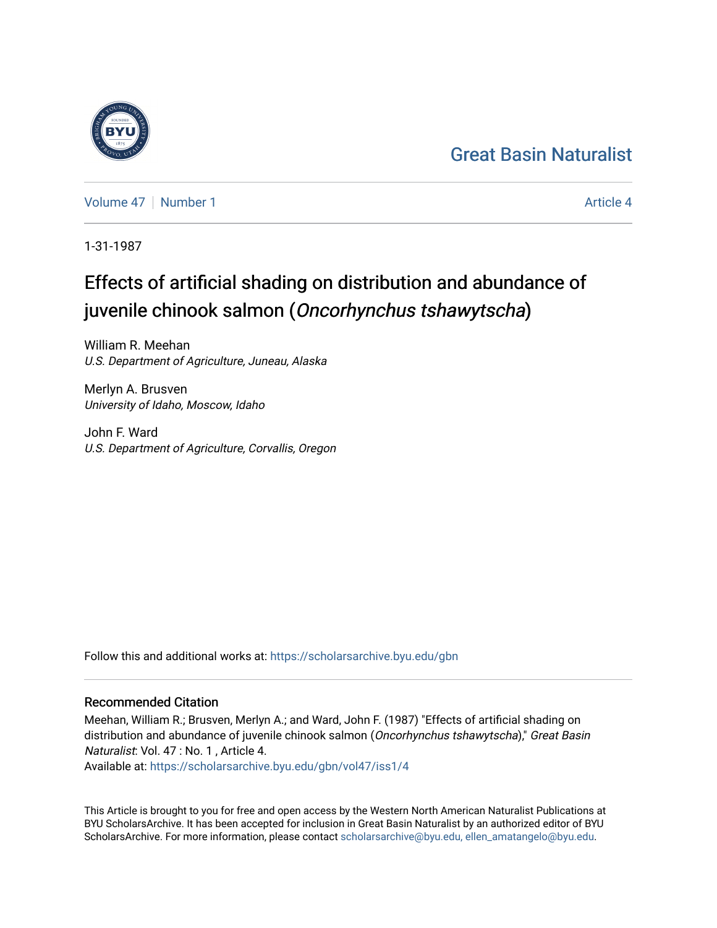## [Great Basin Naturalist](https://scholarsarchive.byu.edu/gbn)

[Volume 47](https://scholarsarchive.byu.edu/gbn/vol47) | [Number 1](https://scholarsarchive.byu.edu/gbn/vol47/iss1) [Article 4](https://scholarsarchive.byu.edu/gbn/vol47/iss1/4) Article 4

1-31-1987

# Effects of artificial shading on distribution and abundance of juvenile chinook salmon (Oncorhynchus tshawytscha)

William R. Meehan U.S. Department of Agriculture, Juneau, Alaska

Merlyn A. Brusven University of Idaho, Moscow, Idaho

John F. Ward U.S. Department of Agriculture, Corvallis, Oregon

Follow this and additional works at: [https://scholarsarchive.byu.edu/gbn](https://scholarsarchive.byu.edu/gbn?utm_source=scholarsarchive.byu.edu%2Fgbn%2Fvol47%2Fiss1%2F4&utm_medium=PDF&utm_campaign=PDFCoverPages) 

## Recommended Citation

Meehan, William R.; Brusven, Merlyn A.; and Ward, John F. (1987) "Effects of artificial shading on distribution and abundance of juvenile chinook salmon (Oncorhynchus tshawytscha)," Great Basin Naturalist: Vol. 47 : No. 1 , Article 4.

Available at: [https://scholarsarchive.byu.edu/gbn/vol47/iss1/4](https://scholarsarchive.byu.edu/gbn/vol47/iss1/4?utm_source=scholarsarchive.byu.edu%2Fgbn%2Fvol47%2Fiss1%2F4&utm_medium=PDF&utm_campaign=PDFCoverPages)

This Article is brought to you for free and open access by the Western North American Naturalist Publications at BYU ScholarsArchive. It has been accepted for inclusion in Great Basin Naturalist by an authorized editor of BYU ScholarsArchive. For more information, please contact [scholarsarchive@byu.edu, ellen\\_amatangelo@byu.edu.](mailto:scholarsarchive@byu.edu,%20ellen_amatangelo@byu.edu)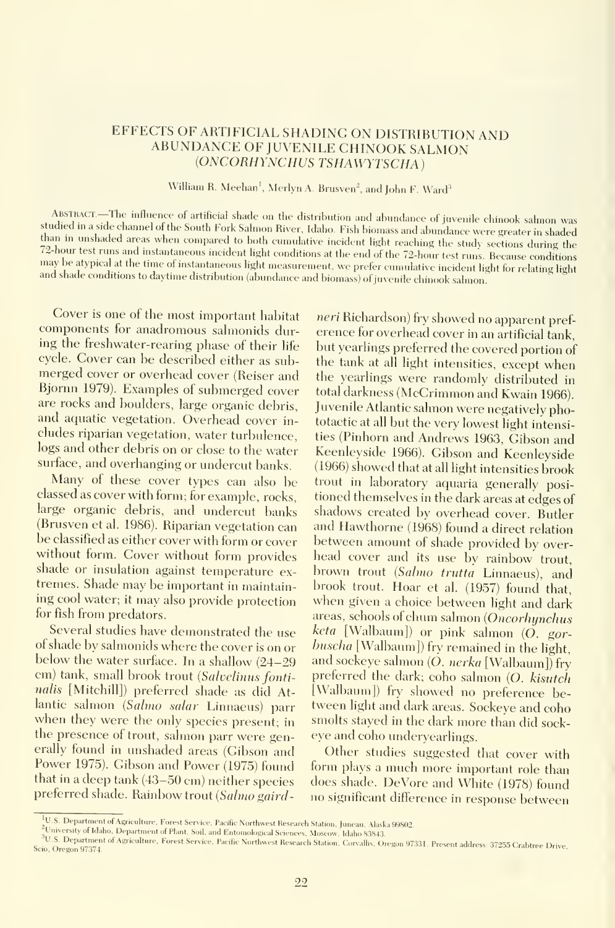### EFFECTS OF ARTIFICIAL SHADING ON DISTRIBUTION AND ABUNDANCE OF JUVENILE CHINOOK SALMON (ONCORHYNCHUS TSHAWYTSCHA)

William R. Meehan<sup>1</sup>, Merlyn A. Brusven<sup>2</sup>, and John F. Ward<sup>3</sup>

ABSTRACT.—The influence of artificial shade on the distribution and abundance of juvenile chinook salmon was studied in a side channel of the South Fork Salmon River, Idaho. Fish biomass and abundance were greater in shade 72-hour test runs and instantaneous incident light conditions at the end of the 72-hour test runs. Because conditions<br>may be atypical at the time of instantaneous light measurement, we prefer cumulative incident light for

Cover is one of the most important habitat components for anadromous sahnonids during the freshwater-rearing phase of their life cycle. Cover can be described either as submerged cover or overhead cover (Reiser and Bjornn 1979). Examples of submerged cover are rocks and boulders, large organic debris, and aquatic vegetation. Overhead cover in cludes riparian vegetation, water turbulence, logs and other debris on or close to the water surface, and overhanging or undercut banks.

Many of these cover types can also be classed as cover with form; for example, rocks, large organic debris, and undercut banks (Brusven et al. 1986). Riparian vegetation can be classified as either cover with form or cover without form. Cover without form provides shade or insulation against temperature ex tremes. Shade may be important in maintaining cool water; it may also provide protection for fish from predators.

Several studies have demonstrated the use of shade by salmonids where the cover is on or below the water surface. In <sup>a</sup> shallow (24-29 cm) tank, small brook trout (Salvelinus fontinalis [Mitchill]) preferred shade as did At-<br>lantic salmon (Salmo salar Linnaeus) parr when they were the only species present; in the presence of trout, salmon parr were generally found in unshaded areas (Gibson and Power 1975). Gibson and Power (1975) found that in <sup>a</sup> deep tank (43-50 cm) neither species preferred shade. Rainbow trout (Salmo gaird-

neri Richardson) fry showed no apparent pref erence for overhead cover in an artificial tank, but yearlings preferred the covered portion of the tank at all light intensities, except when the yearlings were randomly distributed in total darkness (McCrimmon and Kwain 1966). Juvenile Atlantic salmon were negatively phototactic at all but the very lowest light intensities (Pinhorn and Andrews 1963, Gibson and Keenleyside 1966). Gibson and Keenleyside (1966) showed that at all light intensities brook trout in laboratory aquaria generally positioned themselves in the dark areas at edges of shadows created by overhead cover. Butler and Hawthorne (1968) found <sup>a</sup> direct relation between amount of shade provided by over head cover and its use by rainbow trout, brown trout (Salmo trutta Linnaeus), and<br>brook trout. Hoar et al. (1957) found that. when given a choice between light and dark areas, schools of chum salmon (Oncorhynchus keta [Walbaum]) or pink salmon (O. gorbuscha [Walbaum]) fry remained in the light, and sockeye salmon (O. nerka [Walbaum]) fry preferred the dark; coho salmon (O. kisutch [Walbaum]) fry showed no preference between light and dark areas. Sockeye and coho smolts stayed in the dark more than did sock eye and coho underyearlings.

Other studies suggested that cover with form plays <sup>a</sup> much more important role than does shade. DeVore and White (1978) found no significant difference in response between

<sup>&</sup>lt;sup>1</sup>U.S. Department of Agriculture, Forest Service, Pacific Northwest Research Station, Juneau, Alaska 99802.<br><sup>2</sup>University of Idaho, Department of Plant, Soil, and Entomological Sciences, Moscow, Idaho 83843.

<sup>&</sup>lt;sup>3</sup>U.S. Department of Agriculture, Forest Service, Pacific Northwest Research Station, Corvallis, Oregon 97331. Present address: 37255 Crabtree Drive,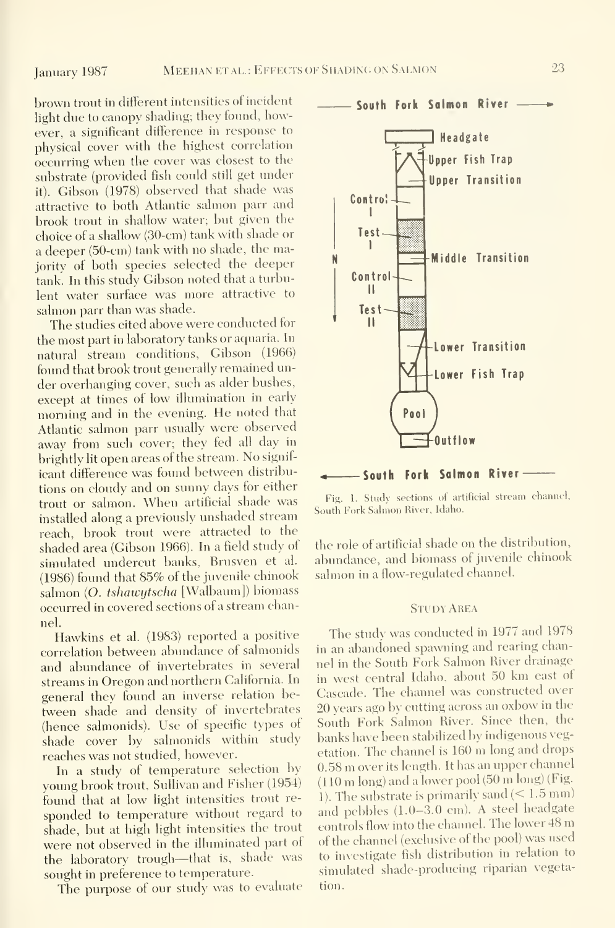brown trout in different intensities of ineident light due to canopy shading; they found, however, a significant difference in response to physical cover with the highest correlation occurring when the cover was closest to the substrate (provided fish could still get under it). Gibson (1978) observed that shade was attractive to both Atlantic salmon parr and brook trout in shallow water; but given the choice of <sup>a</sup> shallow (30-cm) tank with shade or <sup>a</sup> deeper (50-cm) tank with no shade, the majority of both species selected the deeper tank. In this study Gibson noted that a turbulent water surface was more attractive to salmon parr than was shade.

The studies cited above were conducted for the most part in laboratory tanks or aquaria. In natural stream conditions, Gibson (1966) found that brook trout generally remained un der overhanging cover, such as alder bushes, except at times of low illumination in early morning and in the evening. He noted that Atlantic salmon parr usually were observed away from such cover; they fed all day in brightly lit open areas of the stream. No signif icant difference was found between distributions on cloudy and on sunny days for either trout or salmon. When artificial shade was installed along a previously unshaded stream reach, brook trout were attracted to the shaded area (Gibson 1966). In a field study of simulated undercut banks, Brusven et al. (1986) found that 85% of the juvenile chinook salmon (O. tshawytscha [Walbaum]) biomass occurred in covered sections of a stream channel.

Hawkins et al. (1983) reported a positive correlation between abundance of salmonids and abundance of invertebrates in several streams in Oregon and northern California. In general they found an inverse relation between shade and density of invertebrates (hence salmonids). Use of specific types of shade cover by salmonids within study reaches was not studied, however.

In <sup>a</sup> study of temperature selection by young brook trout, Sullivan and Fisher (1954) found that at low light intensities trout re sponded to temperature without regard to shade, but at high light intensities the trout were not observed in the illuminated part of the laboratory trough—that is, shade was sought in preference to temperature.

The purpose of our study was to evaluate



Fig. 1. Study sections of artificial stream channel. South Fork Salmon River, Idaho.

the role of artificial shade on the distribution, abundance, and biomass of juvenile chinook salmon in a flow-regulated channel.

#### Study Area

The study was conducted in 1977 and 1978 in an abandoned spawning and rearing channel in the South Fork Salmon River drainage in west central Idaho, about <sup>50</sup> km east of Cascade. The channel was constructed over 20 years ago by cutting across an oxbow in the South Fork Salmon River. Since then, the banks have been stabilized by indigenous vegetation. The channel is <sup>160</sup> m long and drops 0.58 m over its length. It has an upper channel (110 m long) and <sup>a</sup> lower pool (50 m long) (Fig. 1). The substrate is primarily sand  $(< 1.5$  mm) and pebbles (1.0-3.0 cm). A steel headgate controls flow into the channel. The lower <sup>48</sup> m of the channel (exclusive of the pool) was used to investigate fish distribution in relation to simulated shade-producing riparian vegetation.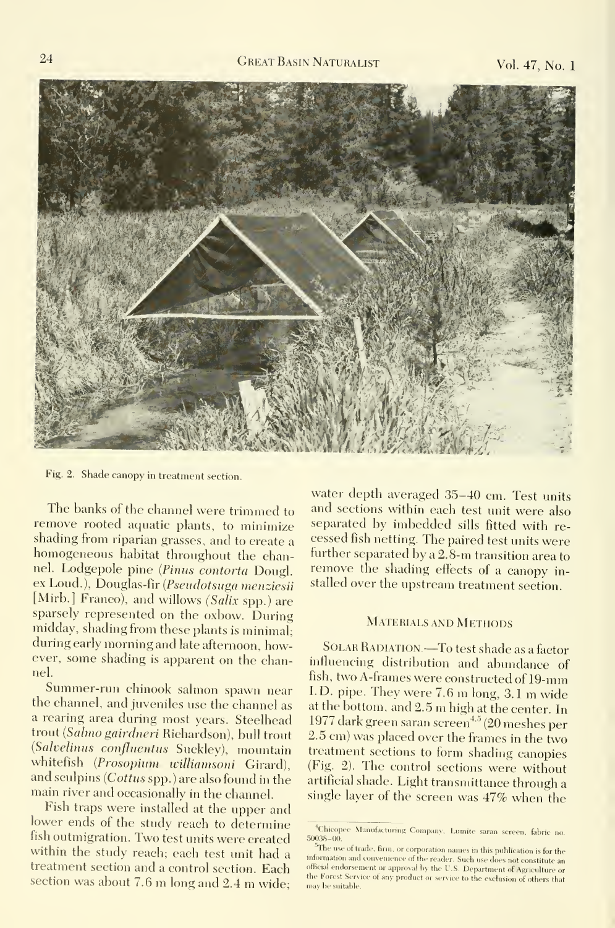

Fig. 2. Shade canopy in treatment section.

The banks of the channel were trimmed to remove rooted aquatic plants, to minimize shading from riparian grasses, and to create <sup>a</sup> homogeneous habitat throughout the channel. Lodgepole pine (Pimis contorta Dougl. ex Loud.), Douglas-fir {Pseudotsuga menziesii [Mirb.] Franco), and willows (Salix spp.) are sparsely represented on the oxbow. During midday, shading from these plants is minimal; during early morning and late afternoon, however, some shading is apparent on the channel.

Summer-run chinook salmon spawn near the channel, and juveniles use the channel as a rearing area during most years. Steelhead trout {Salmo gairdneri Richardson), bull trout (Salvelinus confluentus Suckley), mountain whitefish (Prosopium williamsoni Girard), and sculpins {Cottus spp.) are also found in the main river and occasionally in the channel.

Fish traps were installed at the upper and lower ends of the study reach to determine fish outmigration. Two test units were created within the study reach; each test unit had <sup>a</sup> treatment section and <sup>a</sup> control section. Each section was about 7.6 m long and 2.4 m wide; we reach a server

water depth averaged 35-40 cm. Test units and sections within each test unit were also separated by imbedded sills fitted with re cessed fish netting. The paired test units were further separated by <sup>a</sup> 2.8-m transition area to remove the shading effects of <sup>a</sup> canopy in stalled over the upstream treatment section.

#### Materials and Methods

SOLAR RADIATION.—To test shade as a factor influencing distribution and abundance of fish, two A-frames were constructed of 19-mm I.D. pipe. They were 7.6 m long, 3.1 m wide at the bottom, and 2.5 m high at the center. In 1977 dark green saran screen<sup>4,5</sup> (20 meshes per 2.5 cm) was placed over the frames in the two treatment sections to form shading canopies (Fig. 2). The control sections were without artificial shade. Light transmittance through a single layer of the screen was 47% when the

<sup>&</sup>lt;sup>4</sup>Chicopee Manufacturing Company, Lumite saran screen, fabric no. 50038-00.

 $\tilde{\gamma}$ The use of trade, firm, or corporation names in this publication is for the information and convenience of the reader. Such use does not constitute an official endorsement or approval by the U.S. Department of Agriculture or the Forest Service of any product or service to the exclusion of others that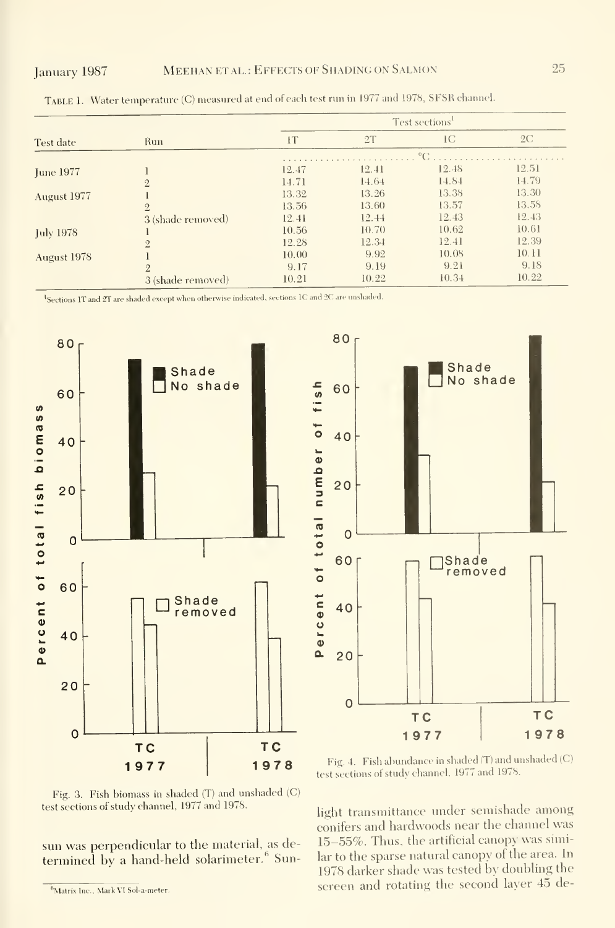| Test date        | <b>Run</b>        | Test sections <sup>1</sup> |       |       |       |  |
|------------------|-------------------|----------------------------|-------|-------|-------|--|
|                  |                   | łТ                         | 2T    | IC    | 2C    |  |
|                  |                   |                            |       |       |       |  |
| <b>June 1977</b> |                   | 12.47                      | 12.41 | 12.48 | 12.51 |  |
|                  | $\overline{2}$    | 14.71                      | 14.64 | 14.84 | 14.79 |  |
| August 1977      |                   | 13.32                      | 13.26 | 13.38 | 13.30 |  |
|                  | $\overline{2}$    | 13.56                      | 13.60 | 13.57 | 13.58 |  |
|                  | 3 (shade removed) | 12.41                      | 12.44 | 12.43 | 12.43 |  |
| July 1978        |                   | 10.56                      | 10.70 | 10.62 | 10.61 |  |
|                  | $\overline{2}$    | 12.28                      | 12.34 | 12.41 | 12.39 |  |
| August 1978      |                   | 10.00                      | 9.92  | 10.08 | 10.11 |  |
|                  | $\overline{2}$    | 9.17                       | 9.19  | 9.21  | 9.18  |  |
|                  | 3 (shade removed) | 10.21                      | 10.22 | 10.34 | 10.22 |  |

Table 1. Water temperature (C) measured at end of each test run in <sup>1977</sup> and 1978, SFSR channel.

<sup>1</sup>Sections 1T and 2T are shaded except when otherwise indicated, sections 1C and 2C are unshaded.



Fig. 3. Fish biomass in shaded (T) and unshaded (C) test sections of study channel, 1977 and 1978.

sun was perpendicular to the material, as determined by a hand-held solarimeter.<sup>6</sup> Sun-



Fig. 4. Fish abundance in shaded (T) and unshaded (C) test sections of study channel. 1977 and 1978.

light transmittance under semishade among conifers and hardwoods near the channel was 15-55%. Thus, the artificial canopy was similar to the sparse natural canopy of the area. In 1978 darker shade was tested by doubling the screen and rotating the second layer 45 de-

<sup>&</sup>lt;sup>6</sup>Matrix Inc., Mark VI Sol-a-meter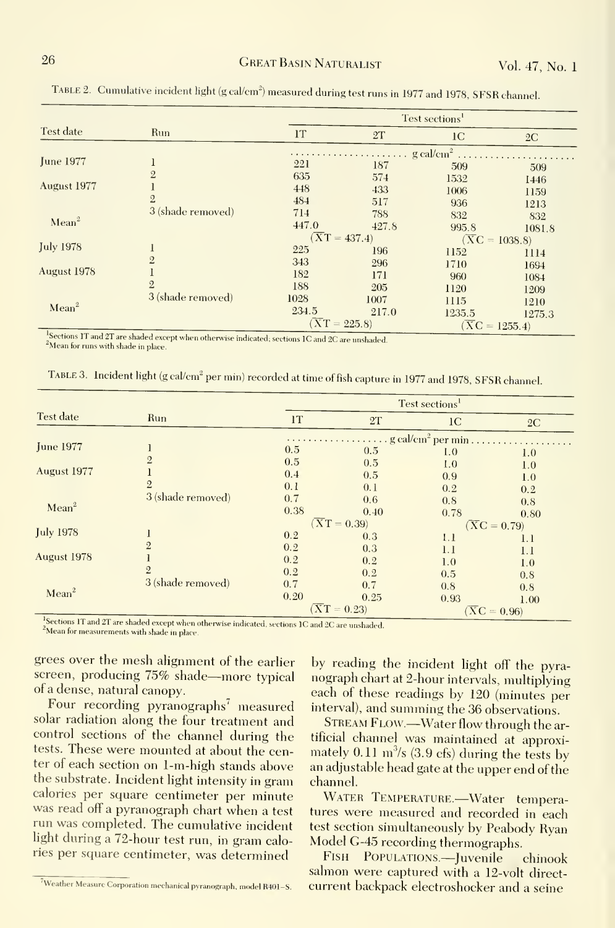| Test date         | Run               | Test sections <sup>1</sup>                                   |       |                            |        |  |  |
|-------------------|-------------------|--------------------------------------------------------------|-------|----------------------------|--------|--|--|
|                   |                   | <b>IT</b>                                                    | 2T    | 1 <sup>C</sup>             | 2C     |  |  |
|                   |                   | $\cdots \cdots \cdots \cdots \cdots$ g cal/cm <sup>2</sup> . |       |                            |        |  |  |
| <b>June 1977</b>  |                   | 221                                                          | 187   | 509                        | 509    |  |  |
|                   | $\overline{2}$    | 635                                                          | 574   | 1532                       | 1446   |  |  |
| August 1977       |                   | 448                                                          | 433   | 1006                       | 1159   |  |  |
|                   | $\overline{2}$    | 484                                                          | 517   | 936                        | 1213   |  |  |
| Mean <sup>2</sup> | 3 (shade removed) | 714                                                          | 788   | 832                        | 832    |  |  |
|                   |                   | 447.0                                                        | 427.8 | 995.8                      | 1081.8 |  |  |
|                   |                   | $(\overline{X}T = 437.4)$                                    |       | $(\overline{X}C = 1038.8)$ |        |  |  |
| <b>July 1978</b>  |                   | 225                                                          | 196   | 1152                       | 1114   |  |  |
|                   | $\overline{2}$    | 343                                                          | 296   | 1710                       | 1694   |  |  |
| August 1978       |                   | 182                                                          | 171   | 960                        | 1084   |  |  |
|                   | $\overline{2}$    | 188                                                          | 205   | 1120                       | 1209   |  |  |
| Mean <sup>2</sup> | 3 (shade removed) | 1028                                                         | 1007  | 1115                       | 1210   |  |  |
|                   |                   | 234.5                                                        | 217.0 | 1235.5                     | 1275.3 |  |  |
|                   |                   | $(\overline{X}\overline{T} = 225.8)$                         |       | $(\overline{X}C = 1255.4)$ |        |  |  |

TABLE 2. Cumulative incident light (g cal/cm<sup>2</sup>) measured during test runs in 1977 and 1978, SFSR channel.

<sup>4</sup>Sections 1T and 2T are shaded except when otherwise indicated; sections 1C and 2C are unshaded. Mean for runs with shade in place.

TABLE 3. Incident light (g cal/cm<sup>2</sup> per min) recorded at time of fish capture in 1977 and 1978, SFSR channel.

| Test date         | Run               | Test sections <sup>1</sup>             |                          |                                  |                          |  |
|-------------------|-------------------|----------------------------------------|--------------------------|----------------------------------|--------------------------|--|
|                   |                   | 1T                                     | 2T                       | 1 <sup>C</sup>                   | 2C                       |  |
|                   |                   | $\ldots$ g cal/cm <sup>2</sup> per min |                          |                                  |                          |  |
| <b>June 1977</b>  |                   | 0.5                                    | 0.5                      | 1.0                              | 1.0                      |  |
|                   | $\overline{2}$    | 0.5                                    | 0.5                      | 1.0                              | 1.0                      |  |
| August 1977       |                   | 0.4                                    | 0.5                      | 0.9                              | 1.0                      |  |
|                   | $\overline{2}$    | 0.1                                    | 0.1                      | 0.2                              | 0.2                      |  |
|                   | 3 (shade removed) | 0.7                                    | 0.6                      | 0.8                              | 0.8                      |  |
| Mean <sup>2</sup> |                   | 0.38                                   | 0.40                     | 0.78                             | 0.80                     |  |
|                   |                   |                                        | $(\overline{X}T = 0.39)$ |                                  | $(\overline{X}C = 0.79)$ |  |
| <b>July 1978</b>  |                   | 0.2                                    | 0.3                      | 1.1                              | 1.1                      |  |
|                   | $\overline{2}$    | 0.2                                    | 0.3                      | 1.1                              | 1.1                      |  |
| August 1978       |                   | 0.2                                    | 0.2                      | 1.0                              | 1.0                      |  |
|                   | $\overline{2}$    | 0.2                                    | 0.2                      | 0.5                              | 0.8                      |  |
|                   | 3 (shade removed) | 0.7                                    | 0.7                      | 0.8                              |                          |  |
| Mean <sup>2</sup> |                   | 0.20                                   | 0.25                     | 0.93                             | 0.8                      |  |
|                   |                   | $\overline{X}T = 0.23$                 |                          | 1.00<br>$(\overline{X}C = 0.96)$ |                          |  |

Sections 1T and 2T are shaded except when otherwise indicated, sections 1C and 2C are unshaded. <sup>2</sup>Mean for measurements with shade in place.

grees over the mesh alignment of the earlier screen, producing 75% shade-more typical of a dense, natural canopy.

Four recording pyranographs<sup>7</sup> measured solar radiation along the four treatment and control sections of the channel during the tests. These were mounted at about the center of each section on 1-m-high stands above the substrate. Incident light intensity in gram calories per square centimeter per minute was read off a pyranograph chart when a test run was completed. The cumulative incident light during a 72-hour test run, in gram calories per square centimeter, was determined

by reading the incident light off the pyranograph chart at 2-hour intervals, multiplying each of these readings by 120 (minutes per interval), and summing the 36 observations.

STREAM FLOW.—Water flow through the artificial channel was maintained at approximately  $0.11 \text{ m}^3\text{/s}$  (3.9 cfs) during the tests by an adjustable head gate at the upper end of the channel.

WATER TEMPERATURE.-Water temperatures were measured and recorded in each test section simultaneously by Peabody Ryan Model G-45 recording thermographs.

FISH POPULATIONS-Juvenile chinook salmon were captured with a 12-volt directcurrent backpack electroshocker and a seine

<sup>&</sup>lt;sup>7</sup>Weather Measure Corporation mechanical pyranograph, model R401-S.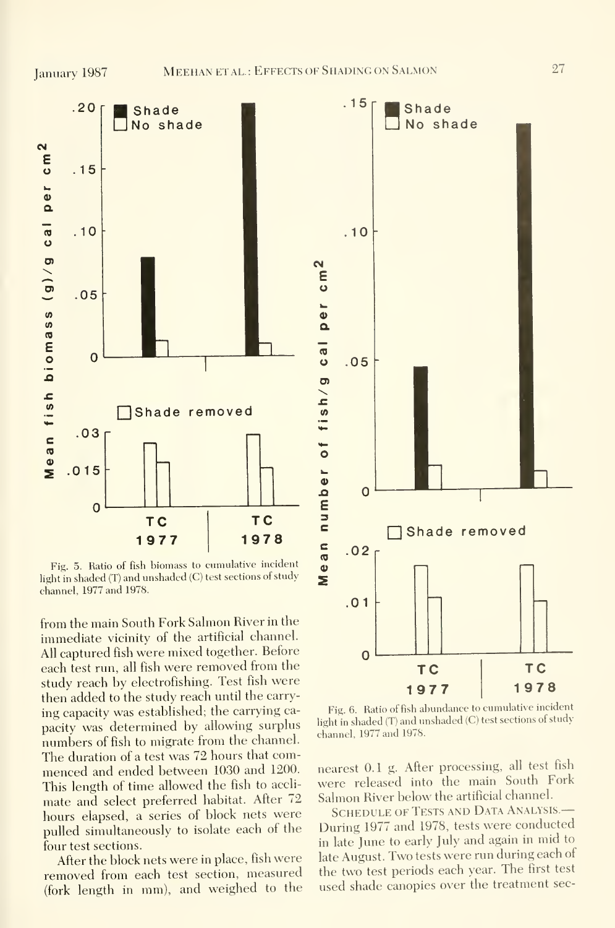

Fig. 5. Ratio of fish biomass to cumulative incident light in shaded (T) and unshaded (C) test sections of study channel, 1977 and 1978.

from the main South Fork Sahnon River in the immediate vicinity of the artificial channel. All captured fish were mixed together. Before each test run, all fish were removed from the study reach by electrofishing. Test fish were then added to the study reach until the carry ing capacity was established; the carrying ca pacity was determined by allowing surplus numbers of fish to migrate from the channel. The duration of <sup>a</sup> test was 72 hours that com menced and ended between 1030 and 1200. This length of time allowed the fish to accli mate and select preferred habitat. After 72 hours elapsed, <sup>a</sup> series of block nets were pulled simultaneously to isolate each of the four test sections.

After the block nets were in place, fish were removed from each test section, measured (fork length in mm), and weighed to the



Fig. 6. Ratio of fish abundance to cumulative incident light in shaded (T) and unshaded (C) test sections of study channel, 1977 and 1978.

nearest 0.1 g. After processing, all test fish were released into the main South Fork Salmon River below the artificial channel.

SCHEDULE OF TESTS AND DATA ANALYSIS.-During 1977 and 1978, tests were conducted in late June to early July and again in mid to late August. Two tests were run during each of the two test periods each year. The first test used shade canopies over the treatment sec-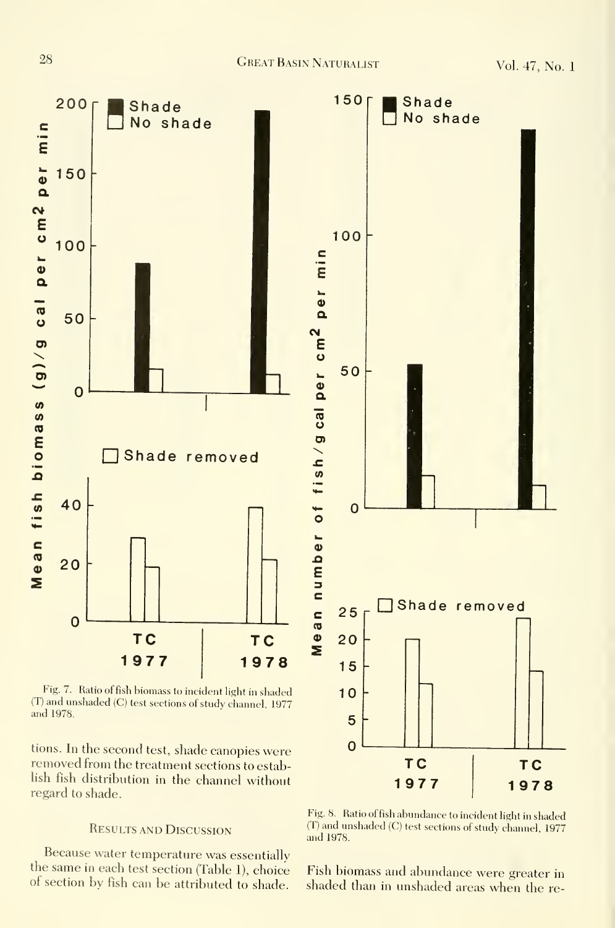

Fig. 7. Ratio of fish biomass to incident light in shaded (T) and unshaded (C) test sections of study channel, 1977 and 1978.

tions. In the second test, shade canopies were removed from the treatment sections to estab lish fish distribution in the channel without regard to shade.

## Results and Discussion

Because water temperature was essentially<br>the same in each test section (Table 1), choice



Fig. 8. Ratio offish abundance to incident light in shaded (T) and unshaded (C) test sections of study channel, 1977 and 1978.

the same in each test section (Table 1), choice Fish biomass and abundance were greater in of section by fish can be attributed to shade. shaded than in unshaded areas when the re-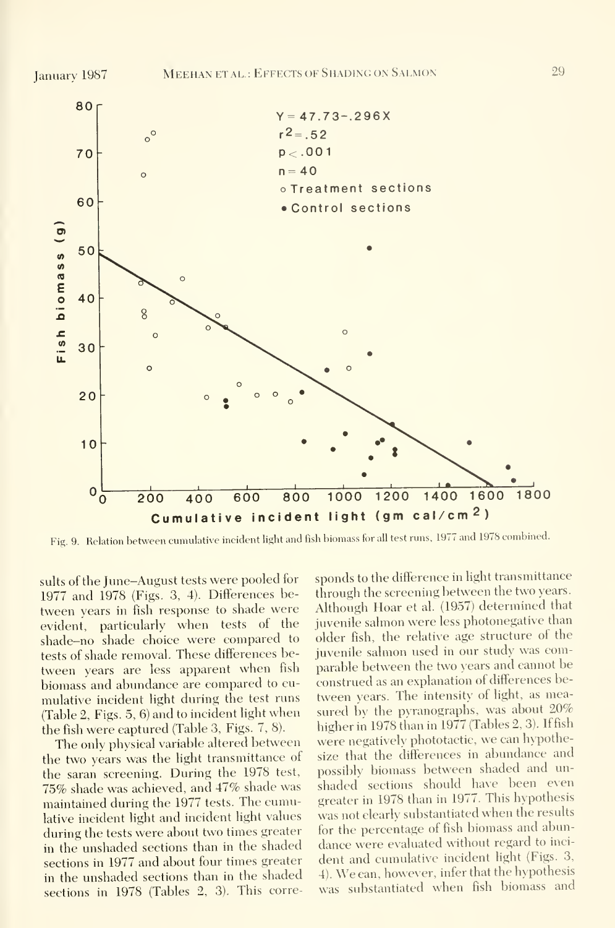

Fig. 9. Relation between cumulative incident light and fish biomass for all test runs, <sup>1977</sup> and <sup>1978</sup> combined.

suits of the June-August tests were pooled for 1977 and 1978 (Figs. 3, 4). Differences between years in fish response to shade were evident, particularly when tests of the shade-no shade choice were compared to tests of shade removal. These differences between years are less apparent when fish biomass and abundance are compared to cu mulative incident light during the test runs (Table 2, Figs. 5, 6) and to incident light when the fish were captured (Table 3, Figs. 7, 8).

The only physical variable altered between the two years was the light transmittance of the saran screening. During the 1978 test, 75% shade was achieved, and 47% shade was maintained during the 1977 tests. The cumulative incident light and incident light values during the tests were about two times greater in the unshaded sections than in the shaded sections in 1977 and about four times greater in the unshaded sections than in the shaded sections in 1978 (Tables 2, 3). This corre-

sponds to the difference in light transmittance through the screening between the two years. Although Hoar et al. (1957) determined that juvenile salmon were less photonegative than older fish, the relative age structure of the juvenile salmon used in our study was comparable between the two years and cannot be construed as an explanation of differences between years. The intensity of light, as measured by the pyranographs, was about 20% higher in 1978 than in 1977 (Tables 2, 3). If fish were negatively phototactie, we can hypothesize that the differences in abundance and possibly biomass between shaded and un shaded sections should have been even greater in 1978 than in 1977. This hypothesis was not clearly substantiated when the results for the percentage of fish biomass and abundance were evaluated without regard to inci dent and cumulative incident light (Figs. 3, 4). We can, however, infer that the hypothesis was substantiated when fish biomass and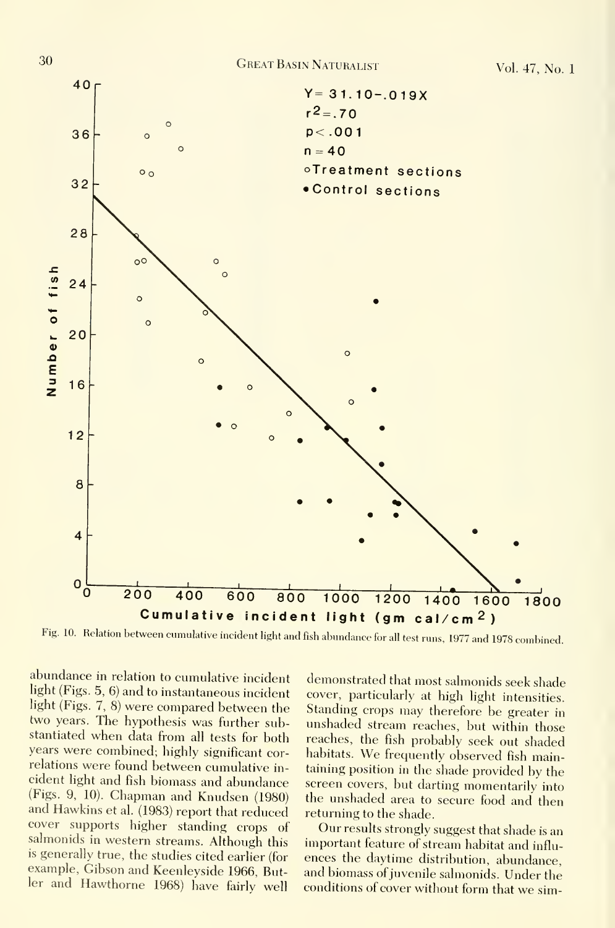

Fig. 10. Relation between cumulative incident light and fish abundance for all test runs, <sup>1977</sup> and <sup>1978</sup> combined.

abundance in relation to cumulative incident light (Figs. 5, 6) and to instantaneous incident light (Figs. 7, 8) were compared between the two years. The hypothesis was further substantiated when data from all tests for both years were combined; highly significant correlations were found between cumulative in cident hght and fish biomass and abundance (Figs. 9, 10). Chapman and Knudsen (1980) and Hawkins et al. (1983) report that reduced cover supports higher standing crops of salmonids in western streams. Although this is generally true, the studies cited earlier (for example, Gibson and Keenleyside 1966, Butler and Hawthorne 1968) have fairly well

demonstrated that most salmonids seek shade cover, particularly at high light intensities. Standing crops may therefore be greater in unshaded stream reaches, but within those reaches, the fish probably seek out shaded habitats. We frequently observed fish maintaining position in the shade provided by the screen covers, but darting momentarily into the unshaded area to secure food and then returning to the shade.

Our results strongly suggest that shade is an important feature of stream habitat and influ ences the daytime distribution, abundance, and biomass of juvenile salmonids. Under the conditions of cover without form that we sim-